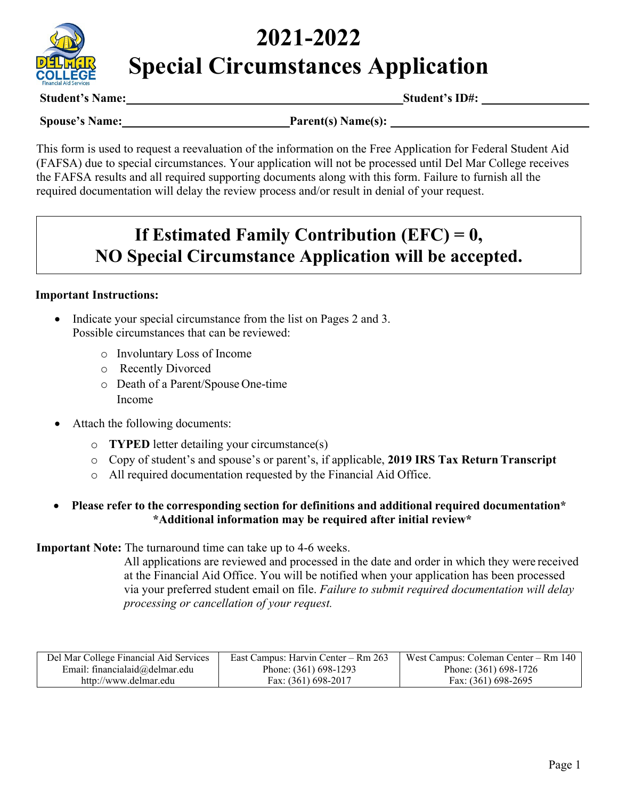

# **2021-2022 Special Circumstances Application**

**Student's Name: Student's ID#:**

**Spouse's Name:** Parent(s) **Name(s):** Parent(s) **Name** 

This form is used to request a reevaluation of the information on the Free Application for Federal Student Aid (FAFSA) due to special circumstances. Your application will not be processed until Del Mar College receives the FAFSA results and all required supporting documents along with this form. Failure to furnish all the required documentation will delay the review process and/or result in denial of your request.

# **If Estimated Family Contribution (EFC) = 0, NO Special Circumstance Application will be accepted.**

#### **Important Instructions:**

- Indicate your special circumstance from the list on Pages 2 and 3. Possible circumstances that can be reviewed:
	- o Involuntary Loss of Income
	- o Recently Divorced
	- o Death of a Parent/Spouse One-time Income
- Attach the following documents:
	- o **TYPED** letter detailing your circumstance(s)
	- o Copy of student's and spouse's or parent's, if applicable, **2019 IRS Tax Return Transcript**
	- o All required documentation requested by the Financial Aid Office.

#### • **Please refer to the corresponding section for definitions and additional required documentation\* \*Additional information may be required after initial review\***

**Important Note:** The turnaround time can take up to 4-6 weeks.

All applications are reviewed and processed in the date and order in which they were received at the Financial Aid Office. You will be notified when your application has been processed via your preferred student email on file. *Failure to submit required documentation will delay processing or cancellation of your request.*

| Del Mar College Financial Aid Services | East Campus: Harvin Center – Rm 263 | West Campus: Coleman Center – Rm 140 |
|----------------------------------------|-------------------------------------|--------------------------------------|
| Email: financialaid $@$ delmar.edu     | Phone: (361) 698-1293               | Phone: (361) 698-1726                |
| http://www.delmar.edu                  | Fax: (361) 698-2017                 | Fax: (361) 698-2695                  |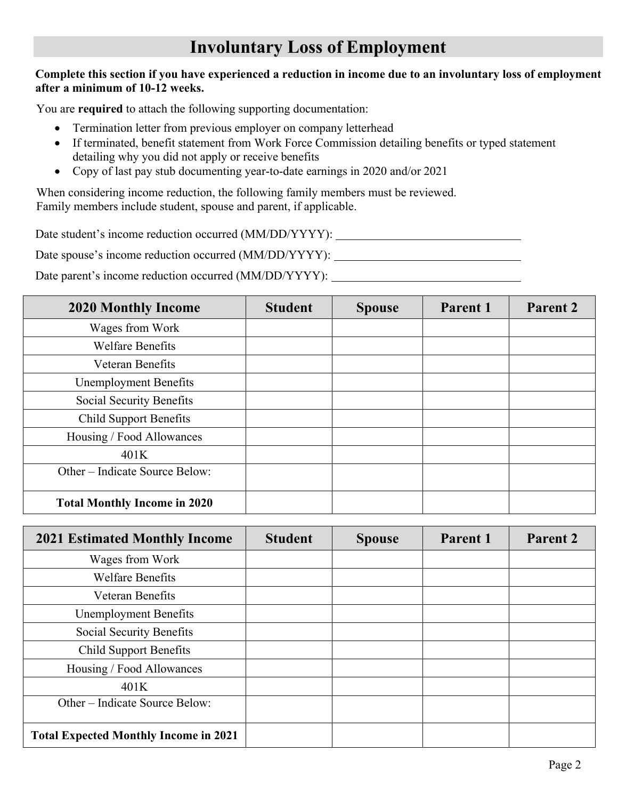# **Involuntary Loss of Employment**

#### **Complete this section if you have experienced a reduction in income due to an involuntary loss of employment after a minimum of 10-12 weeks.**

You are **required** to attach the following supporting documentation:

- Termination letter from previous employer on company letterhead
- If terminated, benefit statement from Work Force Commission detailing benefits or typed statement detailing why you did not apply or receive benefits
- Copy of last pay stub documenting year-to-date earnings in 2020 and/or 2021

When considering income reduction, the following family members must be reviewed. Family members include student, spouse and parent, if applicable.

Date student's income reduction occurred (MM/DD/YYYY):

Date spouse's income reduction occurred (MM/DD/YYYY):

Date parent's income reduction occurred (MM/DD/YYYY):

| <b>2020 Monthly Income</b>          | <b>Student</b> | <b>Spouse</b> | Parent 1 | Parent 2 |
|-------------------------------------|----------------|---------------|----------|----------|
| Wages from Work                     |                |               |          |          |
| <b>Welfare Benefits</b>             |                |               |          |          |
| Veteran Benefits                    |                |               |          |          |
| <b>Unemployment Benefits</b>        |                |               |          |          |
| Social Security Benefits            |                |               |          |          |
| <b>Child Support Benefits</b>       |                |               |          |          |
| Housing / Food Allowances           |                |               |          |          |
| 401K                                |                |               |          |          |
| Other – Indicate Source Below:      |                |               |          |          |
| <b>Total Monthly Income in 2020</b> |                |               |          |          |

| <b>2021 Estimated Monthly Income</b>         | <b>Student</b> | <b>Spouse</b> | Parent 1 | Parent 2 |
|----------------------------------------------|----------------|---------------|----------|----------|
| Wages from Work                              |                |               |          |          |
| <b>Welfare Benefits</b>                      |                |               |          |          |
| <b>Veteran Benefits</b>                      |                |               |          |          |
| <b>Unemployment Benefits</b>                 |                |               |          |          |
| Social Security Benefits                     |                |               |          |          |
| <b>Child Support Benefits</b>                |                |               |          |          |
| Housing / Food Allowances                    |                |               |          |          |
| 401K                                         |                |               |          |          |
| Other – Indicate Source Below:               |                |               |          |          |
| <b>Total Expected Monthly Income in 2021</b> |                |               |          |          |